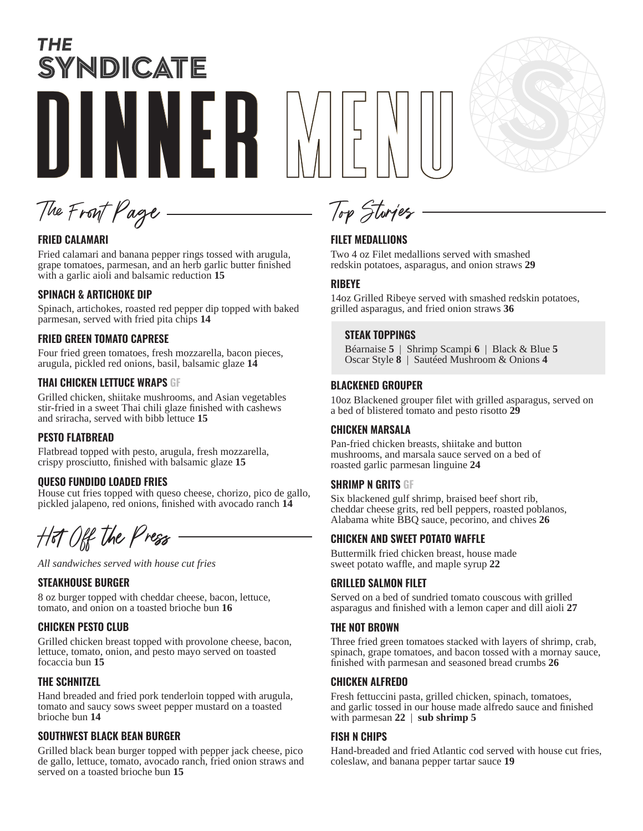# THE SYNDICATE DINNER MENU



The Front Page

# **FRIED CALAMARI**

Fried calamari and banana pepper rings tossed with arugula, grape tomatoes, parmesan, and an herb garlic butter finished with a garlic aioli and balsamic reduction **15**

# **SPINACH & ARTICHOKE DIP**

Spinach, artichokes, roasted red pepper dip topped with baked parmesan, served with fried pita chips **14**

# **FRIED GREEN TOMATO CAPRESE**

Four fried green tomatoes, fresh mozzarella, bacon pieces, arugula, pickled red onions, basil, balsamic glaze **14**

# **THAI CHICKEN LETTUCE WRAPS GF**

Grilled chicken, shiitake mushrooms, and Asian vegetables stir-fried in a sweet Thai chili glaze finished with cashews and sriracha, served with bibb lettuce **15**

# **PESTO FLATBREAD**

Flatbread topped with pesto, arugula, fresh mozzarella, crispy prosciutto, finished with balsamic glaze **15**

# **QUESO FUNDIDO LOADED FRIES**

House cut fries topped with queso cheese, chorizo, pico de gallo, pickled jalapeno, red onions, finished with avocado ranch **14**

Hot Off the Press

*All sandwiches served with house cut fries*

# **STEAKHOUSE BURGER**

8 oz burger topped with cheddar cheese, bacon, lettuce, tomato, and onion on a toasted brioche bun **16**

# **CHICKEN PESTO CLUB**

Grilled chicken breast topped with provolone cheese, bacon, lettuce, tomato, onion, and pesto mayo served on toasted focaccia bun **15**

# **THE SCHNITZEL**

Hand breaded and fried pork tenderloin topped with arugula, tomato and saucy sows sweet pepper mustard on a toasted brioche bun **14**

# **SOUTHWEST BLACK BEAN BURGER**

Grilled black bean burger topped with pepper jack cheese, pico de gallo, lettuce, tomato, avocado ranch, fried onion straws and served on a toasted brioche bun **15**

# **FILET MEDALLIONS**

Top Stories

Two 4 oz Filet medallions served with smashed redskin potatoes, asparagus, and onion straws **29** 

# **RIBEYE**

14oz Grilled Ribeye served with smashed redskin potatoes, grilled asparagus, and fried onion straws **36**

# **STEAK TOPPINGS**

Béarnaise **5** | Shrimp Scampi **6** | Black & Blue **5** Oscar Style **8** | Sautéed Mushroom & Onions **4** 

# **BLACKENED GROUPER**

10oz Blackened grouper filet with grilled asparagus, served on a bed of blistered tomato and pesto risotto **29** 

# **CHICKEN MARSALA**

Pan-fried chicken breasts, shiitake and button mushrooms, and marsala sauce served on a bed of roasted garlic parmesan linguine **24**

# **SHRIMP N GRITS GF**

Six blackened gulf shrimp, braised beef short rib, cheddar cheese grits, red bell peppers, roasted poblanos, Alabama white BBQ sauce, pecorino, and chives **26**

# **CHICKEN AND SWEET POTATO WAFFLE**

Buttermilk fried chicken breast, house made sweet potato waffle, and maple syrup **22**

# **GRILLED SALMON FILET**

Served on a bed of sundried tomato couscous with grilled asparagus and finished with a lemon caper and dill aioli **27**

# **THE NOT BROWN**

Three fried green tomatoes stacked with layers of shrimp, crab, spinach, grape tomatoes, and bacon tossed with a mornay sauce, finished with parmesan and seasoned bread crumbs **26**

# **CHICKEN ALFREDO**

Fresh fettuccini pasta, grilled chicken, spinach, tomatoes, and garlic tossed in our house made alfredo sauce and finished with parmesan **22** | **sub shrimp 5**

# **FISH N CHIPS**

Hand-breaded and fried Atlantic cod served with house cut fries, coleslaw, and banana pepper tartar sauce **19**